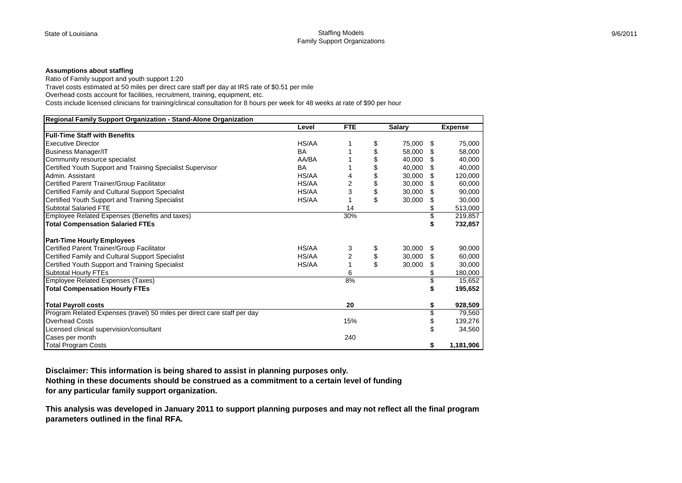## **Assumptions about staffing**

Ratio of Family support and youth support 1:20 Travel costs estimated at 50 miles per direct care staff per day at IRS rate of \$0.51 per mile Overhead costs account for facilities, recruitment, training, equipment, etc. Costs include licensed clinicians for training/clinical consultation for 8 hours per week for 48 weeks at rate of \$90 per hour

| Regional Family Support Organization - Stand-Alone Organization          |           |                |               |    |                |
|--------------------------------------------------------------------------|-----------|----------------|---------------|----|----------------|
|                                                                          | Level     | <b>FTE</b>     | <b>Salary</b> |    | <b>Expense</b> |
| <b>Full-Time Staff with Benefits</b>                                     |           |                |               |    |                |
| <b>Executive Director</b>                                                | HS/AA     |                | \$<br>75,000  | S  | 75,000         |
| <b>Business Manager/IT</b>                                               | <b>BA</b> |                | \$<br>58,000  | \$ | 58,000         |
| Community resource specialist                                            | AA/BA     |                | 40,000        | \$ | 40,000         |
| Certified Youth Support and Training Specialist Supervisor               | <b>BA</b> |                | \$<br>40,000  | S  | 40,000         |
| Admin, Assistant                                                         | HS/AA     | 4              | \$<br>30,000  | \$ | 120,000        |
| Certified Parent Trainer/Group Facilitator                               | HS/AA     | $\overline{2}$ | \$<br>30,000  | \$ | 60,000         |
| Certified Family and Cultural Support Specialist                         | HS/AA     | 3              | \$<br>30,000  |    | 90,000         |
| Certified Youth Support and Training Specialist                          | HS/AA     |                | \$<br>30,000  |    | 30,000         |
| Subtotal Salaried FTE                                                    |           | 14             |               |    | 513,000        |
| Employee Related Expenses (Benefits and taxes)                           |           | 30%            |               | \$ | 219,857        |
| <b>Total Compensation Salaried FTEs</b>                                  |           |                |               | \$ | 732,857        |
|                                                                          |           |                |               |    |                |
| <b>Part-Time Hourly Employees</b>                                        |           |                |               |    |                |
| Certified Parent Trainer/Group Facilitator                               | HS/AA     | 3              | \$<br>30,000  | \$ | 90,000         |
| Certified Family and Cultural Support Specialist                         | HS/AA     | 2              | \$<br>30,000  |    | 60,000         |
| Certified Youth Support and Training Specialist                          | HS/AA     |                | \$<br>30,000  | \$ | 30,000         |
| Subtotal Hourly FTEs                                                     |           | 6              |               |    | 180,000        |
| Employee Related Expenses (Taxes)                                        |           | 8%             |               | \$ | 15,652         |
| <b>Total Compensation Hourly FTEs</b>                                    |           |                |               | \$ | 195,652        |
|                                                                          |           |                |               |    |                |
| <b>Total Payroll costs</b>                                               |           | 20             |               | \$ | 928,509        |
| Program Related Expenses (travel) 50 miles per direct care staff per day |           |                |               | \$ | 79,560         |
| <b>Overhead Costs</b>                                                    |           | 15%            |               | \$ | 139,276        |
| Licensed clinical supervision/consultant                                 |           |                |               |    | 34,560         |
| Cases per month                                                          |           | 240            |               |    |                |
| <b>Total Program Costs</b>                                               |           |                |               | \$ | 1,181,906      |

**Disclaimer: This information is being shared to assist in planning purposes only.**

**Nothing in these documents should be construed as a commitment to a certain level of funding for any particular family support organization.**

**This analysis was developed in January 2011 to support planning purposes and may not reflect all the final program parameters outlined in the final RFA.**